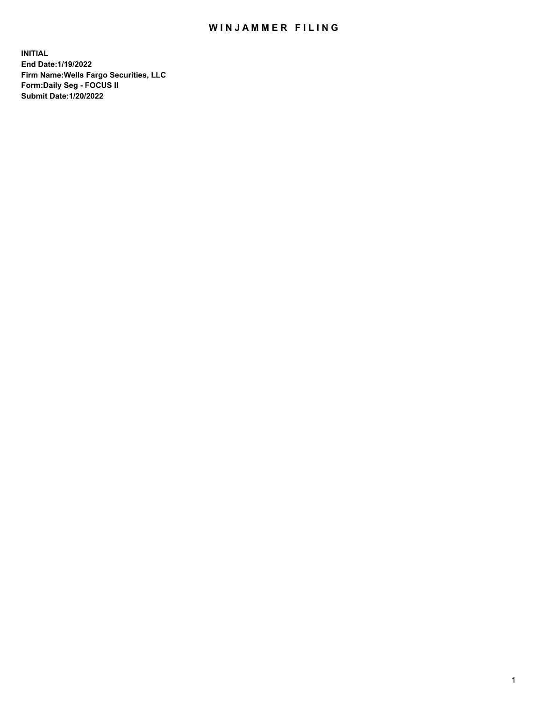## WIN JAMMER FILING

**INITIAL End Date:1/19/2022 Firm Name:Wells Fargo Securities, LLC Form:Daily Seg - FOCUS II Submit Date:1/20/2022**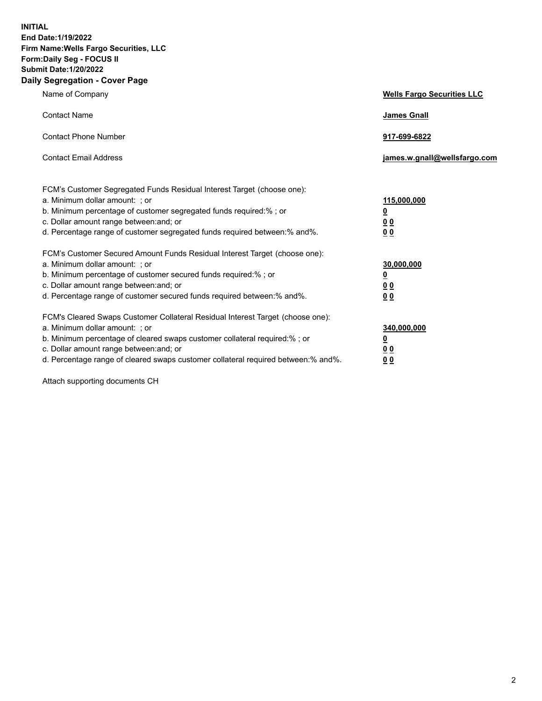**INITIAL End Date:1/19/2022 Firm Name:Wells Fargo Securities, LLC Form:Daily Seg - FOCUS II Submit Date:1/20/2022 Daily Segregation - Cover Page**

| Name of Company                                                                                                                                                                                                                                                                                                                | <b>Wells Fargo Securities LLC</b>                          |
|--------------------------------------------------------------------------------------------------------------------------------------------------------------------------------------------------------------------------------------------------------------------------------------------------------------------------------|------------------------------------------------------------|
| <b>Contact Name</b>                                                                                                                                                                                                                                                                                                            | <b>James Gnall</b>                                         |
| <b>Contact Phone Number</b>                                                                                                                                                                                                                                                                                                    | 917-699-6822                                               |
| <b>Contact Email Address</b>                                                                                                                                                                                                                                                                                                   | james.w.gnall@wellsfargo.com                               |
| FCM's Customer Segregated Funds Residual Interest Target (choose one):<br>a. Minimum dollar amount: ; or<br>b. Minimum percentage of customer segregated funds required:% ; or<br>c. Dollar amount range between: and; or<br>d. Percentage range of customer segregated funds required between:% and%.                         | 115,000,000<br><u>0</u><br>0 <sub>0</sub><br>00            |
| FCM's Customer Secured Amount Funds Residual Interest Target (choose one):<br>a. Minimum dollar amount: ; or<br>b. Minimum percentage of customer secured funds required:%; or<br>c. Dollar amount range between: and; or<br>d. Percentage range of customer secured funds required between:% and%.                            | 30,000,000<br><u>0</u><br>0 <sub>0</sub><br>0 <sub>0</sub> |
| FCM's Cleared Swaps Customer Collateral Residual Interest Target (choose one):<br>a. Minimum dollar amount: ; or<br>b. Minimum percentage of cleared swaps customer collateral required:% ; or<br>c. Dollar amount range between: and; or<br>d. Percentage range of cleared swaps customer collateral required between:% and%. | 340,000,000<br><u>0</u><br>00<br>00                        |

Attach supporting documents CH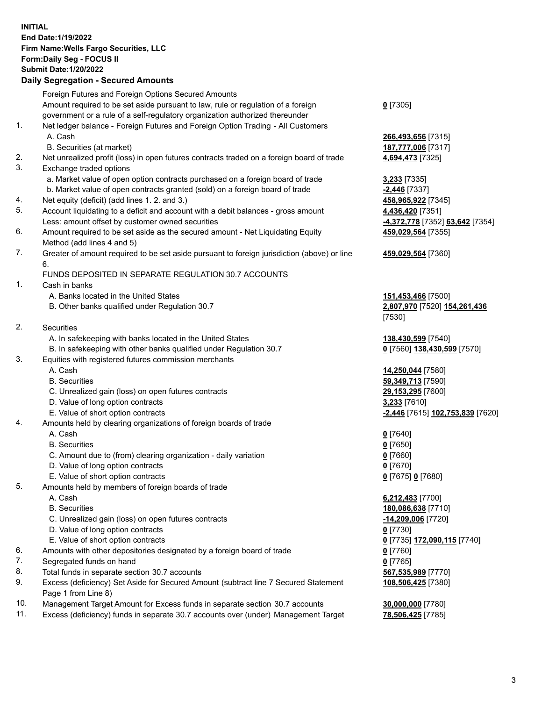**INITIAL End Date:1/19/2022 Firm Name:Wells Fargo Securities, LLC Form:Daily Seg - FOCUS II Submit Date:1/20/2022**

## **Daily Segregation - Secured Amounts**

|    | Foreign Futures and Foreign Options Secured Amounts                                         |                                  |
|----|---------------------------------------------------------------------------------------------|----------------------------------|
|    | Amount required to be set aside pursuant to law, rule or regulation of a foreign            | $0$ [7305]                       |
|    | government or a rule of a self-regulatory organization authorized thereunder                |                                  |
| 1. | Net ledger balance - Foreign Futures and Foreign Option Trading - All Customers             |                                  |
|    | A. Cash                                                                                     | 266,493,656 [7315]               |
|    | B. Securities (at market)                                                                   | 187,777,006 [7317]               |
| 2. | Net unrealized profit (loss) in open futures contracts traded on a foreign board of trade   | 4,694,473 [7325]                 |
| 3. | Exchange traded options                                                                     |                                  |
|    | a. Market value of open option contracts purchased on a foreign board of trade              | 3,233 [7335]                     |
|    | b. Market value of open contracts granted (sold) on a foreign board of trade                | $-2,446$ [7337]                  |
| 4. | Net equity (deficit) (add lines 1. 2. and 3.)                                               | 458,965,922 [7345]               |
| 5. | Account liquidating to a deficit and account with a debit balances - gross amount           | 4,436,420 [7351]                 |
|    | Less: amount offset by customer owned securities                                            | -4,372,778 [7352] 63,642 [7354]  |
| 6. | Amount required to be set aside as the secured amount - Net Liquidating Equity              | 459,029,564 [7355]               |
|    | Method (add lines 4 and 5)                                                                  |                                  |
| 7. | Greater of amount required to be set aside pursuant to foreign jurisdiction (above) or line | 459,029,564 [7360]               |
|    | 6.                                                                                          |                                  |
|    | FUNDS DEPOSITED IN SEPARATE REGULATION 30.7 ACCOUNTS                                        |                                  |
| 1. | Cash in banks                                                                               |                                  |
|    | A. Banks located in the United States                                                       | 151,453,466 [7500]               |
|    | B. Other banks qualified under Regulation 30.7                                              | 2,807,970 [7520] 154,261,436     |
|    |                                                                                             | [7530]                           |
| 2. | Securities                                                                                  |                                  |
|    | A. In safekeeping with banks located in the United States                                   | 138,430,599 [7540]               |
|    | B. In safekeeping with other banks qualified under Regulation 30.7                          | 0 [7560] 138,430,599 [7570]      |
| 3. | Equities with registered futures commission merchants                                       |                                  |
|    | A. Cash                                                                                     | 14,250,044 [7580]                |
|    | <b>B.</b> Securities                                                                        | 59,349,713 [7590]                |
|    | C. Unrealized gain (loss) on open futures contracts                                         | 29,153,295 [7600]                |
|    | D. Value of long option contracts                                                           | 3,233 [7610]                     |
|    | E. Value of short option contracts                                                          | -2,446 [7615] 102,753,839 [7620] |
| 4. | Amounts held by clearing organizations of foreign boards of trade                           |                                  |
|    | A. Cash                                                                                     | $0$ [7640]                       |
|    | <b>B.</b> Securities                                                                        | $0$ [7650]                       |
|    | C. Amount due to (from) clearing organization - daily variation                             | $0$ [7660]                       |
|    | D. Value of long option contracts                                                           | $0$ [7670]                       |
|    | E. Value of short option contracts                                                          | 0 [7675] 0 [7680]                |
| 5. | Amounts held by members of foreign boards of trade                                          |                                  |
|    | A. Cash                                                                                     | 6,212,483 [7700]                 |
|    | <b>B.</b> Securities                                                                        | 180,086,638 [7710]               |
|    | C. Unrealized gain (loss) on open futures contracts                                         | -14,209,006 [7720]               |
|    | D. Value of long option contracts                                                           | $0$ [7730]                       |
|    | E. Value of short option contracts                                                          | 0 [7735] 172,090,115 [7740]      |
| 6. | Amounts with other depositories designated by a foreign board of trade                      | $0$ [7760]                       |
| 7. | Segregated funds on hand                                                                    | $0$ [7765]                       |
| 8. | Total funds in separate section 30.7 accounts                                               | 567,535,989 [7770]               |
| 9. | Excess (deficiency) Set Aside for Secured Amount (subtract line 7 Secured Statement         | 108,506,425 [7380]               |
|    | Page 1 from Line 8)                                                                         |                                  |
|    |                                                                                             |                                  |

- 10. Management Target Amount for Excess funds in separate section 30.7 accounts **30,000,000** [7780]
- 11. Excess (deficiency) funds in separate 30.7 accounts over (under) Management Target **78,506,425** [7785]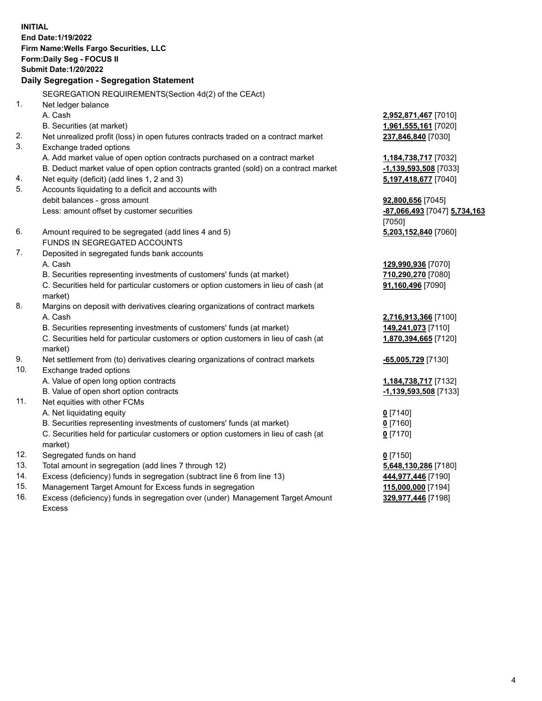**INITIAL End Date:1/19/2022 Firm Name:Wells Fargo Securities, LLC Form:Daily Seg - FOCUS II Submit Date:1/20/2022 Daily Segregation - Segregation Statement** SEGREGATION REQUIREMENTS(Section 4d(2) of the CEAct) 1. Net ledger balance A. Cash **2,952,871,467** [7010] B. Securities (at market) **1,961,555,161** [7020] 2. Net unrealized profit (loss) in open futures contracts traded on a contract market **237,846,840** [7030] 3. Exchange traded options A. Add market value of open option contracts purchased on a contract market **1,184,738,717** [7032] B. Deduct market value of open option contracts granted (sold) on a contract market **-1,139,593,508** [7033] 4. Net equity (deficit) (add lines 1, 2 and 3) **5,197,418,677** [7040] 5. Accounts liquidating to a deficit and accounts with debit balances - gross amount **92,800,656** [7045] Less: amount offset by customer securities **-87,066,493** [7047] **5,734,163** [7050] 6. Amount required to be segregated (add lines 4 and 5) **5,203,152,840** [7060] FUNDS IN SEGREGATED ACCOUNTS 7. Deposited in segregated funds bank accounts A. Cash **129,990,936** [7070] B. Securities representing investments of customers' funds (at market) **710,290,270** [7080] C. Securities held for particular customers or option customers in lieu of cash (at market) **91,160,496** [7090] 8. Margins on deposit with derivatives clearing organizations of contract markets A. Cash **2,716,913,366** [7100] B. Securities representing investments of customers' funds (at market) **149,241,073** [7110] C. Securities held for particular customers or option customers in lieu of cash (at market) **1,870,394,665** [7120] 9. Net settlement from (to) derivatives clearing organizations of contract markets **-65,005,729** [7130] 10. Exchange traded options A. Value of open long option contracts **1,184,738,717** [7132] B. Value of open short option contracts **-1,139,593,508** [7133] 11. Net equities with other FCMs A. Net liquidating equity **0** [7140] B. Securities representing investments of customers' funds (at market) **0** [7160] C. Securities held for particular customers or option customers in lieu of cash (at market) **0** [7170] 12. Segregated funds on hand **0** [7150] 13. Total amount in segregation (add lines 7 through 12) **5,648,130,286** [7180] 14. Excess (deficiency) funds in segregation (subtract line 6 from line 13) **444,977,446** [7190] 15. Management Target Amount for Excess funds in segregation **115,000,000** [7194]

16. Excess (deficiency) funds in segregation over (under) Management Target Amount Excess

**329,977,446** [7198]